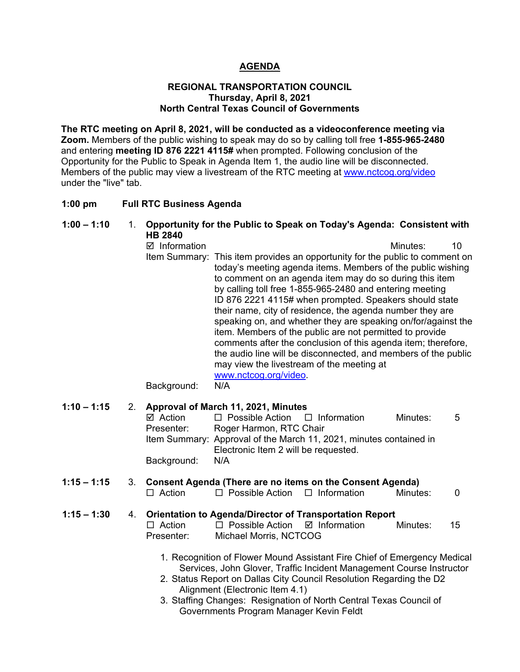# **AGENDA**

#### **REGIONAL TRANSPORTATION COUNCIL Thursday, April 8, 2021 North Central Texas Council of Governments**

**The RTC meeting on April 8, 2021, will be conducted as a videoconference meeting via Zoom.** Members of the public wishing to speak may do so by calling toll free **1-855-965-2480**  and entering **meeting ID 876 2221 4115#** when prompted. Following conclusion of the Opportunity for the Public to Speak in Agenda Item 1, the audio line will be disconnected. Members of the public may view a livestream of the RTC meeting at [www.nctcog.org/video](http://www.nctcog.org/video) under the "live" tab.

#### **1:00 pm Full RTC Business Agenda**

| $1:00 - 1:10$ | 1. | Opportunity for the Public to Speak on Today's Agenda: Consistent with<br><b>HB 2840</b>                                                                                                                                                                                                                                                                                                                                                                                                                                                                                                                                                                                                                                                                                           |                            |  |
|---------------|----|------------------------------------------------------------------------------------------------------------------------------------------------------------------------------------------------------------------------------------------------------------------------------------------------------------------------------------------------------------------------------------------------------------------------------------------------------------------------------------------------------------------------------------------------------------------------------------------------------------------------------------------------------------------------------------------------------------------------------------------------------------------------------------|----------------------------|--|
|               |    | $\boxtimes$ Information<br>This item provides an opportunity for the public to comment on<br>Item Summary:<br>today's meeting agenda items. Members of the public wishing<br>to comment on an agenda item may do so during this item<br>by calling toll free 1-855-965-2480 and entering meeting<br>ID 876 2221 4115# when prompted. Speakers should state<br>their name, city of residence, the agenda number they are<br>speaking on, and whether they are speaking on/for/against the<br>item. Members of the public are not permitted to provide<br>comments after the conclusion of this agenda item; therefore,<br>the audio line will be disconnected, and members of the public<br>may view the livestream of the meeting at<br>www.nctcog.org/video<br>N/A<br>Background: | 10<br>Minutes:             |  |
| $1:10 - 1:15$ | 2. | Approval of March 11, 2021, Minutes                                                                                                                                                                                                                                                                                                                                                                                                                                                                                                                                                                                                                                                                                                                                                |                            |  |
|               |    | $\Box$ Information<br>$\boxtimes$ Action<br>$\Box$ Possible Action<br>Presenter:<br>Roger Harmon, RTC Chair<br>Item Summary: Approval of the March 11, 2021, minutes contained in                                                                                                                                                                                                                                                                                                                                                                                                                                                                                                                                                                                                  | Minutes:<br>5              |  |
|               |    | Electronic Item 2 will be requested.<br>Background:<br>N/A                                                                                                                                                                                                                                                                                                                                                                                                                                                                                                                                                                                                                                                                                                                         |                            |  |
| $1:15 - 1:15$ | 3. | Consent Agenda (There are no items on the Consent Agenda)<br>$\Box$ Action<br>$\Box$ Possible Action<br>$\Box$ Information                                                                                                                                                                                                                                                                                                                                                                                                                                                                                                                                                                                                                                                         | Minutes:<br>$\overline{0}$ |  |
| $1:15 - 1:30$ | 4. | <b>Orientation to Agenda/Director of Transportation Report</b><br>$\Box$ Action<br>$\Box$ Possible Action<br>☑ Information<br>Michael Morris, NCTCOG<br>Presenter:                                                                                                                                                                                                                                                                                                                                                                                                                                                                                                                                                                                                                 | Minutes:<br>15             |  |
|               |    | 1. Recognition of Flower Mound Assistant Fire Chief of Emergency Medical<br>Services, John Glover, Traffic Incident Management Course Instructor                                                                                                                                                                                                                                                                                                                                                                                                                                                                                                                                                                                                                                   |                            |  |

- 2. Status Report on Dallas City Council Resolution Regarding the D2 Alignment (Electronic Item 4.1)
- 3. Staffing Changes: Resignation of North Central Texas Council of Governments Program Manager Kevin Feldt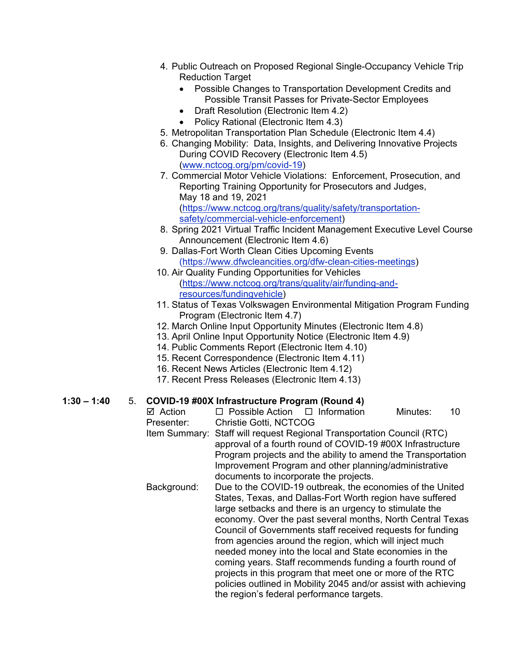- 4. Public Outreach on Proposed Regional Single-Occupancy Vehicle Trip Reduction Target
	- Possible Changes to Transportation Development Credits and Possible Transit Passes for Private-Sector Employees
	- Draft Resolution (Electronic Item 4.2)
	- Policy Rational (Electronic Item 4.3)
- 5. Metropolitan Transportation Plan Schedule (Electronic Item 4.4)
- 6. Changing Mobility: Data, Insights, and Delivering Innovative Projects During COVID Recovery (Electronic Item 4.5) [\(www.nctcog.org/pm/covid-19\)](http://www.nctcog.org/pm/covid-19)
- 7. Commercial Motor Vehicle Violations: Enforcement, Prosecution, and Reporting Training Opportunity for Prosecutors and Judges, May 18 and 19, 2021 [\(https://www.nctcog.org/trans/quality/safety/transportation](https://www.nctcog.org/trans/quality/safety/transportation-safety/commercial-vehicle-enforcement)[safety/commercial-vehicle-enforcement\)](https://www.nctcog.org/trans/quality/safety/transportation-safety/commercial-vehicle-enforcement)
- 8. Spring 2021 Virtual Traffic Incident Management Executive Level Course Announcement (Electronic Item 4.6)
- 9. Dallas-Fort Worth Clean Cities Upcoming Events [\(https://www.dfwcleancities.org/dfw-clean-cities-meetings\)](https://www.dfwcleancities.org/dfw-clean-cities-meetings)
- 10. Air Quality Funding Opportunities for Vehicles [\(https://www.nctcog.org/trans/quality/air/funding-and](https://www.nctcog.org/trans/quality/air/funding-and-resources/fundingvehicle)[resources/fundingvehicle\)](https://www.nctcog.org/trans/quality/air/funding-and-resources/fundingvehicle)
- 11. Status of Texas Volkswagen Environmental Mitigation Program Funding Program (Electronic Item 4.7)
- 12. March Online Input Opportunity Minutes (Electronic Item 4.8)
- 13. April Online Input Opportunity Notice (Electronic Item 4.9)
- 14. Public Comments Report (Electronic Item 4.10)
- 15. Recent Correspondence (Electronic Item 4.11)
- 16. Recent News Articles (Electronic Item 4.12)
- 17. Recent Press Releases (Electronic Item 4.13)

# **1:30 – 1:40** 5. **COVID-19 #00X Infrastructure Program (Round 4)**

 $\Box$  Possible Action  $\Box$  Information Minutes: 10 Presenter: Christie Gotti, NCTCOG Item Summary: Staff will request Regional Transportation Council (RTC) approval of a fourth round of COVID-19 #00X Infrastructure Program projects and the ability to amend the Transportation Improvement Program and other planning/administrative documents to incorporate the projects. Background: Due to the COVID-19 outbreak, the economies of the United States, Texas, and Dallas-Fort Worth region have suffered large setbacks and there is an urgency to stimulate the economy. Over the past several months, North Central Texas Council of Governments staff received requests for funding from agencies around the region, which will inject much needed money into the local and State economies in the coming years. Staff recommends funding a fourth round of projects in this program that meet one or more of the RTC policies outlined in Mobility 2045 and/or assist with achieving the region's federal performance targets.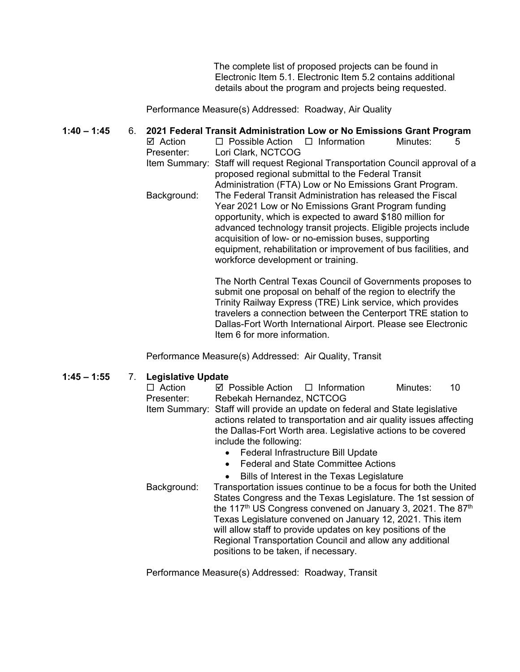The complete list of proposed projects can be found in Electronic Item 5.1. Electronic Item 5.2 contains additional details about the program and projects being requested.

Performance Measure(s) Addressed: Roadway, Air Quality

#### **1:40 – 1:45** 6. **2021 Federal Transit Administration Low or No Emissions Grant Program**  $\boxtimes$  Action  $\Box$  Possible Action  $\Box$  Information Minutes: 5 Presenter: Lori Clark, NCTCOG Item Summary: Staff will request Regional Transportation Council approval of a proposed regional submittal to the Federal Transit Administration (FTA) Low or No Emissions Grant Program. Background: The Federal Transit Administration has released the Fiscal Year 2021 Low or No Emissions Grant Program funding opportunity, which is expected to award \$180 million for advanced technology transit projects. Eligible projects include acquisition of low- or no-emission buses, supporting equipment, rehabilitation or improvement of bus facilities, and workforce development or training.

The North Central Texas Council of Governments proposes to submit one proposal on behalf of the region to electrify the Trinity Railway Express (TRE) Link service, which provides travelers a connection between the Centerport TRE station to Dallas-Fort Worth International Airport. Please see Electronic Item 6 for more information.

Performance Measure(s) Addressed: Air Quality, Transit

### **1:45 – 1:55** 7. **Legislative Update**

| $-9.01$                                                                                                                                          |                                                                             |                                                                    |          |    |  |  |  |  |
|--------------------------------------------------------------------------------------------------------------------------------------------------|-----------------------------------------------------------------------------|--------------------------------------------------------------------|----------|----|--|--|--|--|
| $\Box$ Action                                                                                                                                    | $\boxtimes$ Possible Action $\Box$ Information                              |                                                                    | Minutes: | 10 |  |  |  |  |
| Presenter:                                                                                                                                       | Rebekah Hernandez, NCTCOG                                                   |                                                                    |          |    |  |  |  |  |
|                                                                                                                                                  | Item Summary: Staff will provide an update on federal and State legislative |                                                                    |          |    |  |  |  |  |
|                                                                                                                                                  |                                                                             | actions related to transportation and air quality issues affecting |          |    |  |  |  |  |
|                                                                                                                                                  |                                                                             | the Dallas-Fort Worth area. Legislative actions to be covered      |          |    |  |  |  |  |
|                                                                                                                                                  | include the following:                                                      |                                                                    |          |    |  |  |  |  |
|                                                                                                                                                  |                                                                             | Federal Infrastructure Bill Update                                 |          |    |  |  |  |  |
|                                                                                                                                                  |                                                                             | <b>Federal and State Committee Actions</b>                         |          |    |  |  |  |  |
|                                                                                                                                                  |                                                                             | Bills of Interest in the Texas Legislature                         |          |    |  |  |  |  |
| Background:                                                                                                                                      | Transportation issues continue to be a focus for both the United            |                                                                    |          |    |  |  |  |  |
|                                                                                                                                                  | States Congress and the Texas Legislature. The 1st session of               |                                                                    |          |    |  |  |  |  |
|                                                                                                                                                  |                                                                             |                                                                    |          |    |  |  |  |  |
| the 117 <sup>th</sup> US Congress convened on January 3, 2021. The 87 <sup>th</sup><br>Texas Legislature convened on January 12, 2021. This item |                                                                             |                                                                    |          |    |  |  |  |  |
|                                                                                                                                                  | will allow staff to provide updates on key positions of the                 |                                                                    |          |    |  |  |  |  |
|                                                                                                                                                  | Regional Transportation Council and allow any additional                    |                                                                    |          |    |  |  |  |  |
|                                                                                                                                                  | positions to be taken, if necessary.                                        |                                                                    |          |    |  |  |  |  |
|                                                                                                                                                  |                                                                             |                                                                    |          |    |  |  |  |  |

Performance Measure(s) Addressed: Roadway, Transit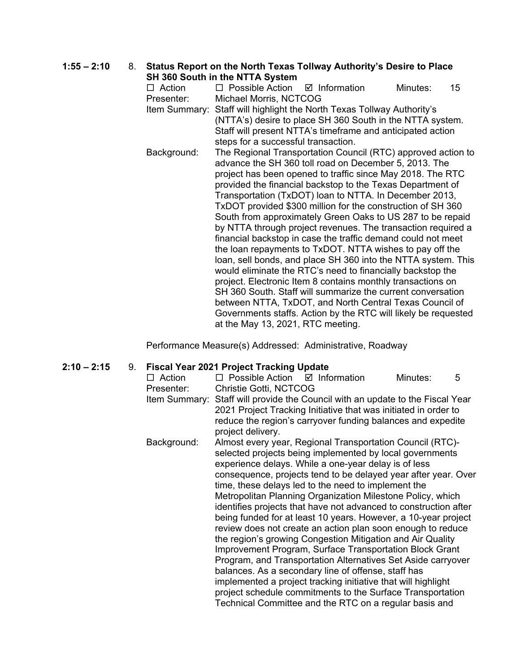### **1:55 – 2:10** 8. **Status Report on the North Texas Tollway Authority's Desire to Place SH 360 South in the NTTA System**

|               | <b>SH 300 SOULLE III LITE IN LEAS OPS LETTE</b>                |                         |  |          |    |  |  |  |
|---------------|----------------------------------------------------------------|-------------------------|--|----------|----|--|--|--|
| $\Box$ Action | $\Box$ Possible Action                                         | $\boxtimes$ Information |  | Minutes: | 15 |  |  |  |
| Presenter:    | Michael Morris, NCTCOG                                         |                         |  |          |    |  |  |  |
| Item Summary: | Staff will highlight the North Texas Tollway Authority's       |                         |  |          |    |  |  |  |
|               | (NTTA's) desire to place SH 360 South in the NTTA system.      |                         |  |          |    |  |  |  |
|               | Staff will present NTTA's timeframe and anticipated action     |                         |  |          |    |  |  |  |
|               | steps for a successful transaction.                            |                         |  |          |    |  |  |  |
| Background:   | The Regional Transportation Council (RTC) approved action to   |                         |  |          |    |  |  |  |
|               | advance the SH 360 toll road on December 5, 2013. The          |                         |  |          |    |  |  |  |
|               | project has been opened to traffic since May 2018. The RTC     |                         |  |          |    |  |  |  |
|               | provided the financial backstop to the Texas Department of     |                         |  |          |    |  |  |  |
|               | Transportation (TxDOT) loan to NTTA. In December 2013,         |                         |  |          |    |  |  |  |
|               | TxDOT provided \$300 million for the construction of SH 360    |                         |  |          |    |  |  |  |
|               | South from approximately Green Oaks to US 287 to be repaid     |                         |  |          |    |  |  |  |
|               | by NTTA through project revenues. The transaction required a   |                         |  |          |    |  |  |  |
|               | financial backstop in case the traffic demand could not meet   |                         |  |          |    |  |  |  |
|               | the loan repayments to TxDOT. NTTA wishes to pay off the       |                         |  |          |    |  |  |  |
|               | loan, sell bonds, and place SH 360 into the NTTA system. This  |                         |  |          |    |  |  |  |
|               | would eliminate the RTC's need to financially backstop the     |                         |  |          |    |  |  |  |
|               | project. Electronic Item 8 contains monthly transactions on    |                         |  |          |    |  |  |  |
|               | SH 360 South. Staff will summarize the current conversation    |                         |  |          |    |  |  |  |
|               | between NTTA, TxDOT, and North Central Texas Council of        |                         |  |          |    |  |  |  |
|               | Governments staffs. Action by the RTC will likely be requested |                         |  |          |    |  |  |  |
|               | at the May 13, 2021, RTC meeting.                              |                         |  |          |    |  |  |  |

Performance Measure(s) Addressed: Administrative, Roadway

# **2:10 – 2:15** 9. **Fiscal Year 2021 Project Tracking Update**

| $\Box$ Action | $\Box$ Possible Action $\Box$ Information                                      |  |  | Minutes: | 5 |  |
|---------------|--------------------------------------------------------------------------------|--|--|----------|---|--|
| Presenter:    | Christie Gotti, NCTCOG                                                         |  |  |          |   |  |
|               | Item Summary: Staff will provide the Council with an update to the Fiscal Year |  |  |          |   |  |
|               | 2021 Project Tracking Initiative that was initiated in order to                |  |  |          |   |  |
|               | reduce the region's carryover funding balances and expedite                    |  |  |          |   |  |
|               | project delivery.                                                              |  |  |          |   |  |
| Background:   | Almost every year, Regional Transportation Council (RTC)-                      |  |  |          |   |  |
|               | selected projects being implemented by local governments                       |  |  |          |   |  |
|               | experience delays. While a one-year delay is of less                           |  |  |          |   |  |
|               | consequence, projects tend to be delayed year after year. Over                 |  |  |          |   |  |
|               | time, these delays led to the need to implement the                            |  |  |          |   |  |
|               | Metropolitan Planning Organization Milestone Policy, which                     |  |  |          |   |  |
|               | identifies projects that have not advanced to construction after               |  |  |          |   |  |
|               | being funded for at least 10 years. However, a 10-year project                 |  |  |          |   |  |
|               | review does not create an action plan soon enough to reduce                    |  |  |          |   |  |
|               | the region's growing Congestion Mitigation and Air Quality                     |  |  |          |   |  |
|               | Improvement Program, Surface Transportation Block Grant                        |  |  |          |   |  |
|               | Program, and Transportation Alternatives Set Aside carryover                   |  |  |          |   |  |
|               | balances. As a secondary line of offense, staff has                            |  |  |          |   |  |
|               | implemented a project tracking initiative that will highlight                  |  |  |          |   |  |
|               | project schedule commitments to the Surface Transportation                     |  |  |          |   |  |
|               | Technical Committee and the RTC on a regular basis and                         |  |  |          |   |  |
|               |                                                                                |  |  |          |   |  |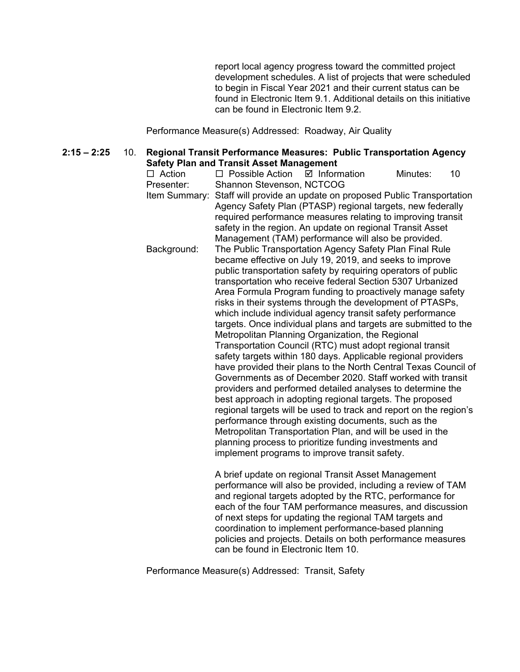report local agency progress toward the committed project development schedules. A list of projects that were scheduled to begin in Fiscal Year 2021 and their current status can be found in Electronic Item 9.1. Additional details on this initiative can be found in Electronic Item 9.2.

Performance Measure(s) Addressed: Roadway, Air Quality

**2:15 – 2:25** 10. **Regional Transit Performance Measures: Public Transportation Agency Safety Plan and Transit Asset Management**

| $\Box$ Action<br>Presenter: | $\Box$ Possible Action<br>Shannon Stevenson, NCTCOG | $\boxtimes$ Information                                                                                                                                                                                                                                                                                                                                                                                                                                                                                                                                                                                                                                                                                                                                                                                                                                                                                                                                                                                                                                                                                                                                                                                                                                                                                            | Minutes: | 10 |
|-----------------------------|-----------------------------------------------------|--------------------------------------------------------------------------------------------------------------------------------------------------------------------------------------------------------------------------------------------------------------------------------------------------------------------------------------------------------------------------------------------------------------------------------------------------------------------------------------------------------------------------------------------------------------------------------------------------------------------------------------------------------------------------------------------------------------------------------------------------------------------------------------------------------------------------------------------------------------------------------------------------------------------------------------------------------------------------------------------------------------------------------------------------------------------------------------------------------------------------------------------------------------------------------------------------------------------------------------------------------------------------------------------------------------------|----------|----|
|                             |                                                     | Item Summary: Staff will provide an update on proposed Public Transportation<br>Agency Safety Plan (PTASP) regional targets, new federally<br>required performance measures relating to improving transit<br>safety in the region. An update on regional Transit Asset                                                                                                                                                                                                                                                                                                                                                                                                                                                                                                                                                                                                                                                                                                                                                                                                                                                                                                                                                                                                                                             |          |    |
| Background:                 |                                                     | Management (TAM) performance will also be provided.<br>The Public Transportation Agency Safety Plan Final Rule<br>became effective on July 19, 2019, and seeks to improve<br>public transportation safety by requiring operators of public<br>transportation who receive federal Section 5307 Urbanized<br>Area Formula Program funding to proactively manage safety<br>risks in their systems through the development of PTASPs,<br>which include individual agency transit safety performance<br>targets. Once individual plans and targets are submitted to the<br>Metropolitan Planning Organization, the Regional<br>Transportation Council (RTC) must adopt regional transit<br>safety targets within 180 days. Applicable regional providers<br>have provided their plans to the North Central Texas Council of<br>Governments as of December 2020. Staff worked with transit<br>providers and performed detailed analyses to determine the<br>best approach in adopting regional targets. The proposed<br>regional targets will be used to track and report on the region's<br>performance through existing documents, such as the<br>Metropolitan Transportation Plan, and will be used in the<br>planning process to prioritize funding investments and<br>implement programs to improve transit safety. |          |    |
|                             |                                                     | A brief update on regional Transit Asset Management<br>performance will also be provided, including a review of TAM<br>and regional targets adopted by the RTC, performance for<br>each of the four TAM performance measures, and discussion<br>of next steps for updating the regional TAM targets and                                                                                                                                                                                                                                                                                                                                                                                                                                                                                                                                                                                                                                                                                                                                                                                                                                                                                                                                                                                                            |          |    |

coordination to implement performance-based planning policies and projects. Details on both performance measures

Performance Measure(s) Addressed: Transit, Safety

can be found in Electronic Item 10.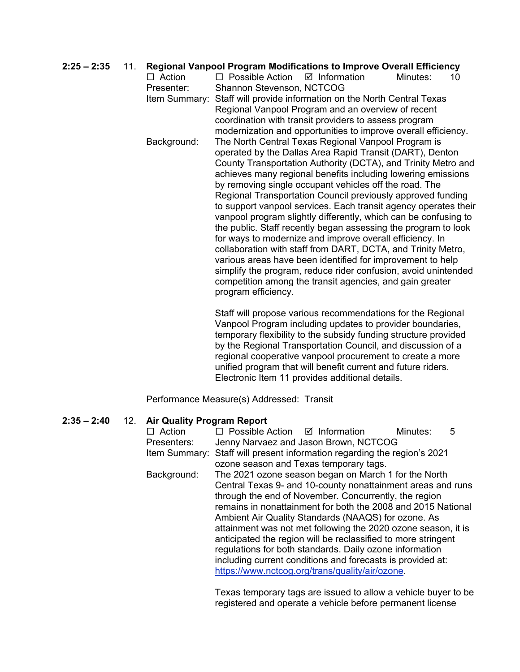### **2:25 – 2:35** 11. **Regional Vanpool Program Modifications to Improve Overall Efficiency**

| $\Box$ Action | $\Box$ Possible Action                                    | $\boxtimes$ Information                                         | Minutes: | 10 |  |  |  |
|---------------|-----------------------------------------------------------|-----------------------------------------------------------------|----------|----|--|--|--|
| Presenter:    | Shannon Stevenson, NCTCOG                                 |                                                                 |          |    |  |  |  |
| Item Summary: | Staff will provide information on the North Central Texas |                                                                 |          |    |  |  |  |
|               |                                                           | Regional Vanpool Program and an overview of recent              |          |    |  |  |  |
|               |                                                           | coordination with transit providers to assess program           |          |    |  |  |  |
|               |                                                           | modernization and opportunities to improve overall efficiency.  |          |    |  |  |  |
| Background:   |                                                           | The North Central Texas Regional Vanpool Program is             |          |    |  |  |  |
|               |                                                           | operated by the Dallas Area Rapid Transit (DART), Denton        |          |    |  |  |  |
|               |                                                           | County Transportation Authority (DCTA), and Trinity Metro and   |          |    |  |  |  |
|               |                                                           | achieves many regional benefits including lowering emissions    |          |    |  |  |  |
|               |                                                           | by removing single occupant vehicles off the road. The          |          |    |  |  |  |
|               |                                                           | Regional Transportation Council previously approved funding     |          |    |  |  |  |
|               |                                                           | to support vanpool services. Each transit agency operates their |          |    |  |  |  |
|               |                                                           | vanpool program slightly differently, which can be confusing to |          |    |  |  |  |
|               |                                                           | the public. Staff recently began assessing the program to look  |          |    |  |  |  |
|               |                                                           | for ways to modernize and improve overall efficiency. In        |          |    |  |  |  |
|               |                                                           | collaboration with staff from DART, DCTA, and Trinity Metro,    |          |    |  |  |  |
|               |                                                           | various areas have been identified for improvement to help      |          |    |  |  |  |
|               |                                                           | simplify the program, reduce rider confusion, avoid unintended  |          |    |  |  |  |
|               |                                                           | competition among the transit agencies, and gain greater        |          |    |  |  |  |
|               | program efficiency.                                       |                                                                 |          |    |  |  |  |
|               |                                                           |                                                                 |          |    |  |  |  |

Staff will propose various recommendations for the Regional Vanpool Program including updates to provider boundaries, temporary flexibility to the subsidy funding structure provided by the Regional Transportation Council, and discussion of a regional cooperative vanpool procurement to create a more unified program that will benefit current and future riders. Electronic Item 11 provides additional details.

Performance Measure(s) Addressed: Transit

# **2:35 – 2:40** 12. **Air Quality Program Report**

| $\Box$ Action | $\Box$ Possible Action $\Box$ Information                                |                                                               | Minutes: | 5 |  |  |
|---------------|--------------------------------------------------------------------------|---------------------------------------------------------------|----------|---|--|--|
| Presenters:   |                                                                          | Jenny Narvaez and Jason Brown, NCTCOG                         |          |   |  |  |
|               | Item Summary: Staff will present information regarding the region's 2021 |                                                               |          |   |  |  |
|               |                                                                          | ozone season and Texas temporary tags.                        |          |   |  |  |
| Background:   |                                                                          | The 2021 ozone season began on March 1 for the North          |          |   |  |  |
|               |                                                                          | Central Texas 9- and 10-county nonattainment areas and runs   |          |   |  |  |
|               |                                                                          | through the end of November. Concurrently, the region         |          |   |  |  |
|               | remains in nonattainment for both the 2008 and 2015 National             |                                                               |          |   |  |  |
|               |                                                                          | Ambient Air Quality Standards (NAAQS) for ozone. As           |          |   |  |  |
|               |                                                                          | attainment was not met following the 2020 ozone season, it is |          |   |  |  |
|               |                                                                          | anticipated the region will be reclassified to more stringent |          |   |  |  |
|               |                                                                          | regulations for both standards. Daily ozone information       |          |   |  |  |
|               |                                                                          | including current conditions and forecasts is provided at:    |          |   |  |  |
|               |                                                                          | https://www.nctcog.org/trans/quality/air/ozone.               |          |   |  |  |
|               |                                                                          |                                                               |          |   |  |  |

Texas temporary tags are issued to allow a vehicle buyer to be registered and operate a vehicle before permanent license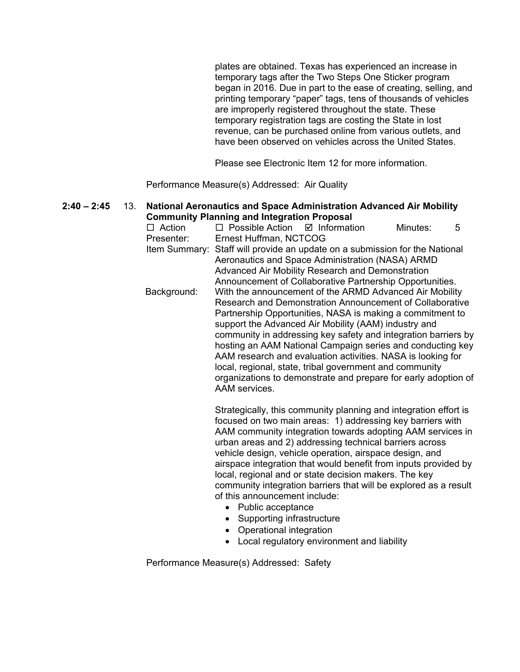plates are obtained. Texas has experienced an increase in temporary tags after the Two Steps One Sticker program began in 2016. Due in part to the ease of creating, selling, and printing temporary "paper" tags, tens of thousands of vehicles are improperly registered throughout the state. These temporary registration tags are costing the State in lost revenue, can be purchased online from various outlets, and have been observed on vehicles across the United States.

Please see Electronic Item 12 for more information.

Performance Measure(s) Addressed: Air Quality

#### **2:40 – 2:45** 13. **National Aeronautics and Space Administration Advanced Air Mobility Community Planning and Integration Proposal**

| $\Box$ Action |                                                                                                                                                                                                                                                                                                                                                                                                                                                                                                                                                                                       |                                                                  | Minutes: | 5 |  |  |  |
|---------------|---------------------------------------------------------------------------------------------------------------------------------------------------------------------------------------------------------------------------------------------------------------------------------------------------------------------------------------------------------------------------------------------------------------------------------------------------------------------------------------------------------------------------------------------------------------------------------------|------------------------------------------------------------------|----------|---|--|--|--|
| Presenter:    | Ernest Huffman, NCTCOG                                                                                                                                                                                                                                                                                                                                                                                                                                                                                                                                                                |                                                                  |          |   |  |  |  |
|               | Item Summary: Staff will provide an update on a submission for the National<br>Aeronautics and Space Administration (NASA) ARMD<br>Advanced Air Mobility Research and Demonstration<br>Announcement of Collaborative Partnership Opportunities.                                                                                                                                                                                                                                                                                                                                       |                                                                  |          |   |  |  |  |
| Background:   | With the announcement of the ARMD Advanced Air Mobility<br>Research and Demonstration Announcement of Collaborative<br>Partnership Opportunities, NASA is making a commitment to<br>support the Advanced Air Mobility (AAM) industry and<br>community in addressing key safety and integration barriers by<br>hosting an AAM National Campaign series and conducting key<br>AAM research and evaluation activities. NASA is looking for<br>local, regional, state, tribal government and community<br>organizations to demonstrate and prepare for early adoption of<br>AAM services. |                                                                  |          |   |  |  |  |
|               |                                                                                                                                                                                                                                                                                                                                                                                                                                                                                                                                                                                       | Strategically, this community planning and integration effort is |          |   |  |  |  |

Strategically, this community planning and integration effort is focused on two main areas: 1) addressing key barriers with AAM community integration towards adopting AAM services in urban areas and 2) addressing technical barriers across vehicle design, vehicle operation, airspace design, and airspace integration that would benefit from inputs provided by local, regional and or state decision makers. The key community integration barriers that will be explored as a result of this announcement include:

- Public acceptance
- Supporting infrastructure
- Operational integration
- Local regulatory environment and liability

Performance Measure(s) Addressed: Safety